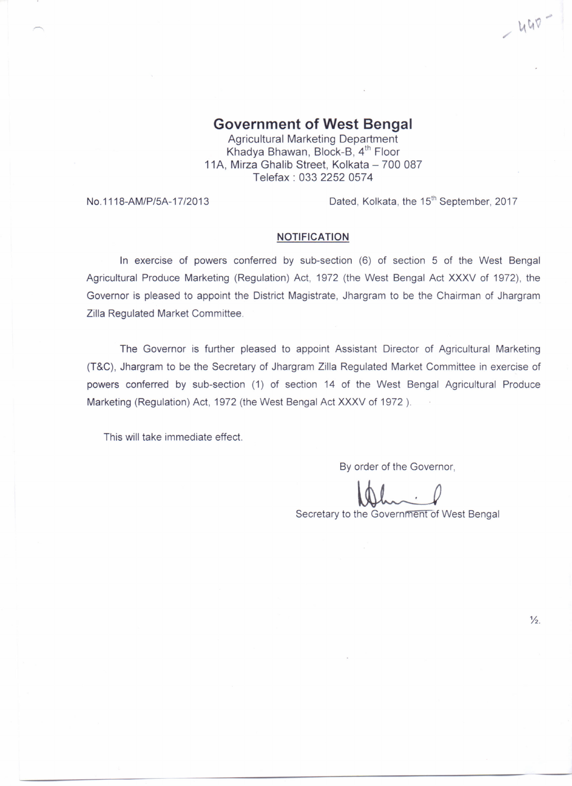$-440 -$ 

## **Government of West Bengal**

Agricultural Marketing Department Khadya Bhawan, Block-B, 4<sup>th</sup> Floor 11A, Mirza Ghalib Street, Kolkata - 700 087 Telefax: 0332252 0574

No.1118-AM/P/5A-17/2013 Dated, Kolkata, the 15<sup>th</sup> September, 2017

## **NOTIFICATION**

In exercise of powers conferred by sub-section (6) of section 5 of the West Bengal Agricultural Produce Marketing (Regulation) Act, 1972 (the West Bengal Act XXXV of 1972), the Governor is pleased to appoint the District Magistrate, Jhargram to be the Chairman of Jhargram Zilla Regulated Market Committee.

The Governor is further pleased to appoint Assistant Director of Agricultural Marketing (T&C), Jhargram to be the Secretary of Jhargram Zilla Regulated Market Committee in exercise of powers conferred by sub-section (1) of section 14 of the West Bengal Agricultural Produce Marketing (Regulation) Act, 1972 (the West Bengal Act XXXV of 1972 ).

This will take immediate effect.

By order of the Governor,

~

Secretary to the Government of West Bengal

 $\frac{1}{2}$ .